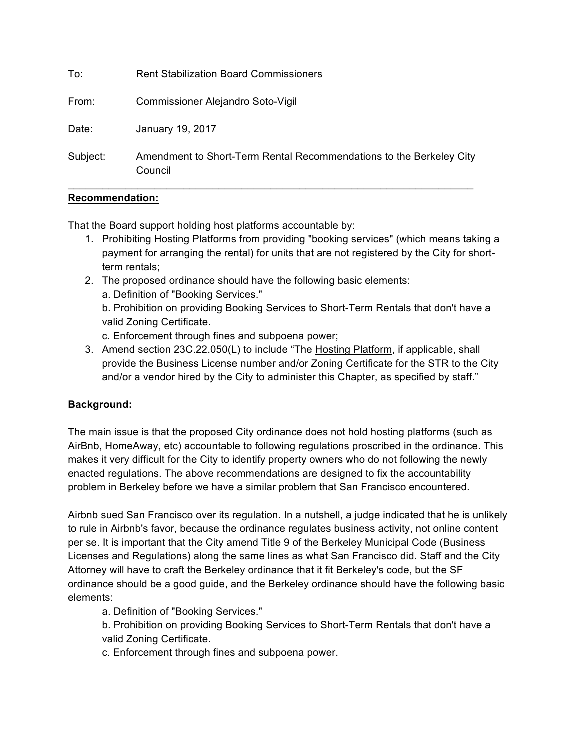| To:      | <b>Rent Stabilization Board Commissioners</b>                                  |
|----------|--------------------------------------------------------------------------------|
| From:    | Commissioner Alejandro Soto-Vigil                                              |
| Date:    | January 19, 2017                                                               |
| Subject: | Amendment to Short-Term Rental Recommendations to the Berkeley City<br>Council |

## **Recommendation:**

That the Board support holding host platforms accountable by:

- 1. Prohibiting Hosting Platforms from providing "booking services" (which means taking a payment for arranging the rental) for units that are not registered by the City for shortterm rentals;
- 2. The proposed ordinance should have the following basic elements:
	- a. Definition of "Booking Services."

b. Prohibition on providing Booking Services to Short-Term Rentals that don't have a valid Zoning Certificate.

c. Enforcement through fines and subpoena power;

3. Amend section 23C.22.050(L) to include "The Hosting Platform, if applicable, shall provide the Business License number and/or Zoning Certificate for the STR to the City and/or a vendor hired by the City to administer this Chapter, as specified by staff."

## **Background:**

The main issue is that the proposed City ordinance does not hold hosting platforms (such as AirBnb, HomeAway, etc) accountable to following regulations proscribed in the ordinance. This makes it very difficult for the City to identify property owners who do not following the newly enacted regulations. The above recommendations are designed to fix the accountability problem in Berkeley before we have a similar problem that San Francisco encountered.

Airbnb sued San Francisco over its regulation. In a nutshell, a judge indicated that he is unlikely to rule in Airbnb's favor, because the ordinance regulates business activity, not online content per se. It is important that the City amend Title 9 of the Berkeley Municipal Code (Business Licenses and Regulations) along the same lines as what San Francisco did. Staff and the City Attorney will have to craft the Berkeley ordinance that it fit Berkeley's code, but the SF ordinance should be a good guide, and the Berkeley ordinance should have the following basic elements:

a. Definition of "Booking Services."

b. Prohibition on providing Booking Services to Short-Term Rentals that don't have a valid Zoning Certificate.

c. Enforcement through fines and subpoena power.